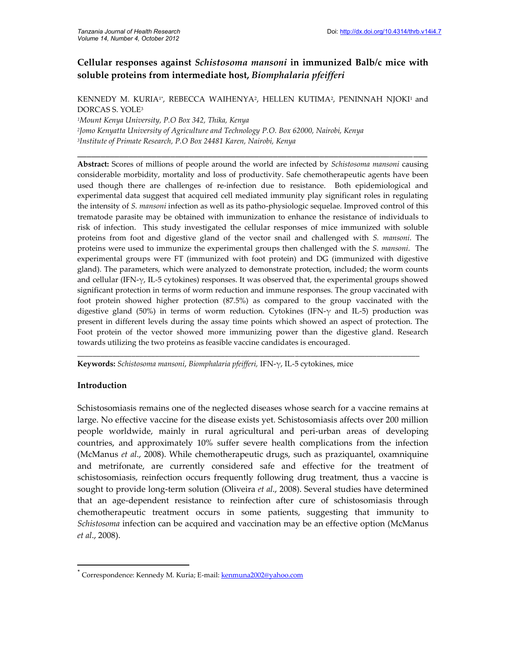# **Cellular responses against** *Schistosoma mansoni* **in immunized Balb/c mice with soluble proteins from intermediate host,** *Biomphalaria pfeifferi*

KENNEDY M. KURIA1\*, REBECCA WAIHENYA2, HELLEN KUTIMA2, PENINNAH NJOKI<sup>1</sup> and DORCAS S. YOLE<sup>3</sup>

**\_\_\_\_\_\_\_\_\_\_\_\_\_\_\_\_\_\_\_\_\_\_\_\_\_\_\_\_\_\_\_\_\_\_\_\_\_\_\_\_\_\_\_\_\_\_\_\_\_\_\_\_\_\_\_\_\_\_\_\_\_\_\_\_\_\_\_\_\_\_\_\_\_\_\_**

*<sup>1</sup>Mount Kenya University, P.O Box 342, Thika, Kenya 2 Jomo Kenyatta University of Agriculture and Technology P.O. Box 62000, Nairobi, Kenya 3 Institute of Primate Research, P.O Box 24481 Karen, Nairobi, Kenya*

**Abstract:** Scores of millions of people around the world are infected by *Schistosoma mansoni* causing considerable morbidity, mortality and loss of productivity. Safe chemotherapeutic agents have been used though there are challenges of re-infection due to resistance. Both epidemiological and experimental data suggest that acquired cell mediated immunity play significant roles in regulating the intensity of *S. mansoni* infection as well as its patho-physiologic sequelae. Improved control of this trematode parasite may be obtained with immunization to enhance the resistance of individuals to risk of infection. This study investigated the cellular responses of mice immunized with soluble proteins from foot and digestive gland of the vector snail and challenged with *S. mansoni*. The proteins were used to immunize the experimental groups then challenged with the *S. mansoni*. The experimental groups were FT (immunized with foot protein) and DG (immunized with digestive gland). The parameters, which were analyzed to demonstrate protection, included; the worm counts and cellular (IFN-γ, IL-5 cytokines) responses. It was observed that, the experimental groups showed significant protection in terms of worm reduction and immune responses. The group vaccinated with foot protein showed higher protection (87.5%) as compared to the group vaccinated with the digestive gland (50%) in terms of worm reduction. Cytokines (IFN-γ and IL-5) production was present in different levels during the assay time points which showed an aspect of protection. The Foot protein of the vector showed more immunizing power than the digestive gland. Research towards utilizing the two proteins as feasible vaccine candidates is encouraged.

\_\_\_\_\_\_\_\_\_\_\_\_\_\_\_\_\_\_\_\_\_\_\_\_\_\_\_\_\_\_\_\_\_\_\_\_\_\_\_\_\_\_\_\_\_\_\_\_\_\_\_\_\_\_\_\_\_\_\_\_\_\_\_\_\_\_\_\_\_\_\_\_\_\_\_\_\_\_\_\_\_\_\_\_\_\_\_\_

**Keywords:** *Schistosoma mansoni*, *Biomphalaria pfeifferi,* IFN-γ, IL-5 cytokines, mice

## **Introduction**

Schistosomiasis remains one of the neglected diseases whose search for a vaccine remains at large. No effective vaccine for the disease exists yet. Schistosomiasis affects over 200 million people worldwide, mainly in rural agricultural and peri-urban areas of developing countries, and approximately 10% suffer severe health complications from the infection (McManus *et al*., 2008). While chemotherapeutic drugs, such as praziquantel, oxamniquine and metrifonate, are currently considered safe and effective for the treatment of schistosomiasis, reinfection occurs frequently following drug treatment, thus a vaccine is sought to provide long-term solution (Oliveira *et al*., 2008). Several studies have determined that an age-dependent resistance to reinfection after cure of schistosomiasis through chemotherapeutic treatment occurs in some patients, suggesting that immunity to *Schistosoma* infection can be acquired and vaccination may be an effective option (McManus *et al*., 2008).

<sup>\*</sup> Correspondence: Kennedy M. Kuria; E-mail: kenmuna2002@yahoo.com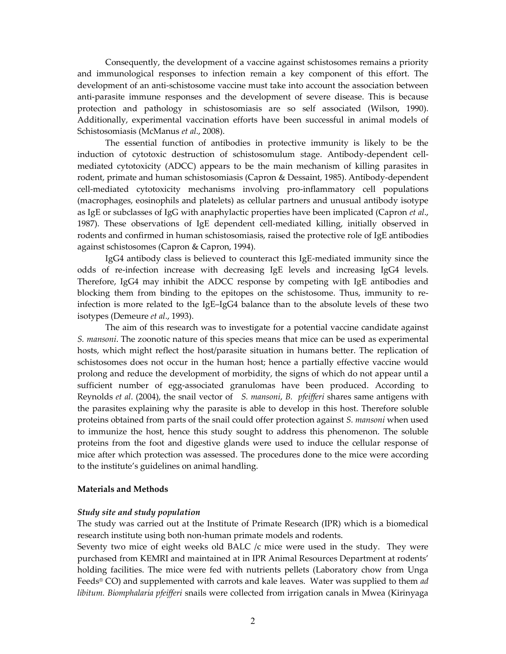Consequently, the development of a vaccine against schistosomes remains a priority and immunological responses to infection remain a key component of this effort. The development of an anti-schistosome vaccine must take into account the association between anti-parasite immune responses and the development of severe disease. This is because protection and pathology in schistosomiasis are so self associated (Wilson, 1990). Additionally, experimental vaccination efforts have been successful in animal models of Schistosomiasis (McManus *et al*., 2008).

The essential function of antibodies in protective immunity is likely to be the induction of cytotoxic destruction of schistosomulum stage. Antibody-dependent cellmediated cytotoxicity (ADCC) appears to be the main mechanism of killing parasites in rodent, primate and human schistosomiasis (Capron & Dessaint, 1985). Antibody-dependent cell-mediated cytotoxicity mechanisms involving pro-inflammatory cell populations (macrophages, eosinophils and platelets) as cellular partners and unusual antibody isotype as IgE or subclasses of IgG with anaphylactic properties have been implicated (Capron *et al*., 1987). These observations of IgE dependent cell-mediated killing, initially observed in rodents and confirmed in human schistosomiasis, raised the protective role of IgE antibodies against schistosomes (Capron & Capron, 1994).

IgG4 antibody class is believed to counteract this IgE-mediated immunity since the odds of re-infection increase with decreasing IgE levels and increasing IgG4 levels. Therefore, IgG4 may inhibit the ADCC response by competing with IgE antibodies and blocking them from binding to the epitopes on the schistosome. Thus, immunity to reinfection is more related to the IgE–IgG4 balance than to the absolute levels of these two isotypes (Demeure *et al*., 1993).

The aim of this research was to investigate for a potential vaccine candidate against *S. mansoni*. The zoonotic nature of this species means that mice can be used as experimental hosts, which might reflect the host/parasite situation in humans better. The replication of schistosomes does not occur in the human host; hence a partially effective vaccine would prolong and reduce the development of morbidity, the signs of which do not appear until a sufficient number of egg-associated granulomas have been produced. According to Reynolds *et al*. (2004), the snail vector of *S. mansoni*, *B. pfeifferi* shares same antigens with the parasites explaining why the parasite is able to develop in this host. Therefore soluble proteins obtained from parts of the snail could offer protection against *S. mansoni* when used to immunize the host, hence this study sought to address this phenomenon. The soluble proteins from the foot and digestive glands were used to induce the cellular response of mice after which protection was assessed. The procedures done to the mice were according to the institute's guidelines on animal handling.

#### **Materials and Methods**

#### *Study site and study population*

The study was carried out at the Institute of Primate Research (IPR) which is a biomedical research institute using both non-human primate models and rodents.

Seventy two mice of eight weeks old BALC /c mice were used in the study. They were purchased from KEMRI and maintained at in IPR Animal Resources Department at rodents' holding facilities. The mice were fed with nutrients pellets (Laboratory chow from Unga Feeds® CO) and supplemented with carrots and kale leaves. Water was supplied to them *ad libitum. Biomphalaria pfeifferi* snails were collected from irrigation canals in Mwea (Kirinyaga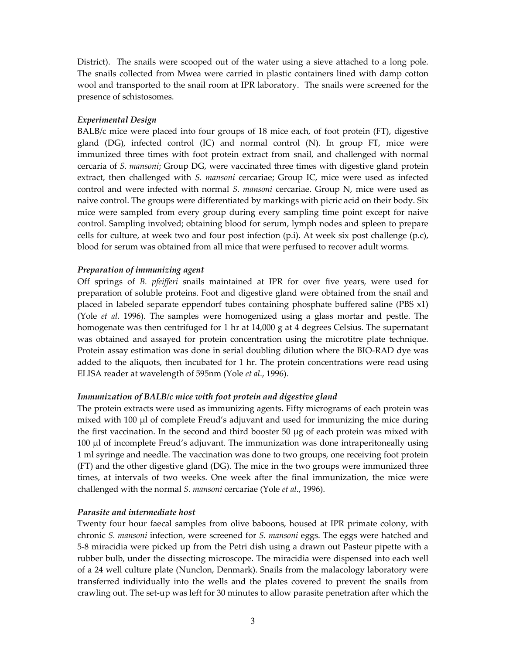District). The snails were scooped out of the water using a sieve attached to a long pole. The snails collected from Mwea were carried in plastic containers lined with damp cotton wool and transported to the snail room at IPR laboratory. The snails were screened for the presence of schistosomes.

## *Experimental Design*

BALB/c mice were placed into four groups of 18 mice each, of foot protein (FT), digestive gland  $(DG)$ , infected control  $(IC)$  and normal control  $(N)$ . In group FT, mice were immunized three times with foot protein extract from snail, and challenged with normal cercaria of *S. mansoni*; Group DG, were vaccinated three times with digestive gland protein extract, then challenged with *S. mansoni* cercariae; Group IC, mice were used as infected control and were infected with normal *S. mansoni* cercariae. Group N, mice were used as naive control. The groups were differentiated by markings with picric acid on their body. Six mice were sampled from every group during every sampling time point except for naive control. Sampling involved; obtaining blood for serum, lymph nodes and spleen to prepare cells for culture, at week two and four post infection (p.i). At week six post challenge (p.c), blood for serum was obtained from all mice that were perfused to recover adult worms.

## *Preparation of immunizing agent*

Off springs of *B. pfeifferi* snails maintained at IPR for over five years, were used for preparation of soluble proteins. Foot and digestive gland were obtained from the snail and placed in labeled separate eppendorf tubes containing phosphate buffered saline (PBS x1) (Yole *et al.* 1996). The samples were homogenized using a glass mortar and pestle. The homogenate was then centrifuged for 1 hr at 14,000 g at 4 degrees Celsius. The supernatant was obtained and assayed for protein concentration using the microtitre plate technique. Protein assay estimation was done in serial doubling dilution where the BIO-RAD dye was added to the aliquots, then incubated for 1 hr. The protein concentrations were read using ELISA reader at wavelength of 595nm (Yole *et al*., 1996).

## *Immunization of BALB/c mice with foot protein and digestive gland*

The protein extracts were used as immunizing agents. Fifty micrograms of each protein was mixed with 100 µl of complete Freud's adjuvant and used for immunizing the mice during the first vaccination. In the second and third booster  $50 \mu g$  of each protein was mixed with 100 µl of incomplete Freud's adjuvant. The immunization was done intraperitoneally using 1 ml syringe and needle. The vaccination was done to two groups, one receiving foot protein (FT) and the other digestive gland (DG). The mice in the two groups were immunized three times, at intervals of two weeks. One week after the final immunization, the mice were challenged with the normal *S. mansoni* cercariae (Yole *et al*., 1996).

## *Parasite and intermediate host*

Twenty four hour faecal samples from olive baboons, housed at IPR primate colony, with chronic *S. mansoni* infection, were screened for *S. mansoni* eggs. The eggs were hatched and 5-8 miracidia were picked up from the Petri dish using a drawn out Pasteur pipette with a rubber bulb, under the dissecting microscope. The miracidia were dispensed into each well of a 24 well culture plate (Nunclon, Denmark). Snails from the malacology laboratory were transferred individually into the wells and the plates covered to prevent the snails from crawling out. The set-up was left for 30 minutes to allow parasite penetration after which the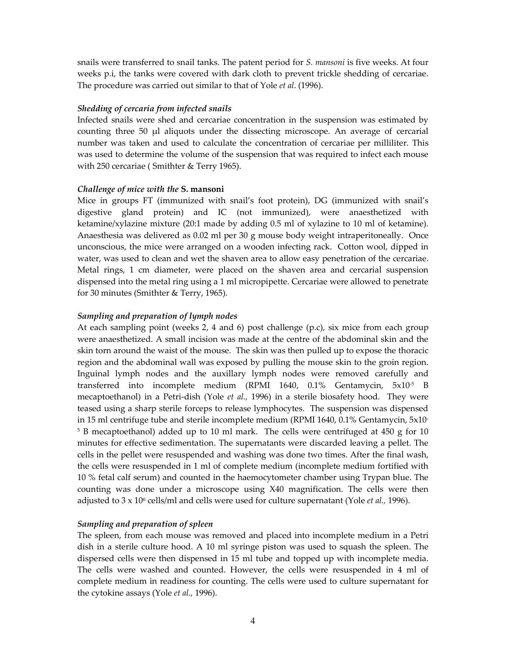snails were transferred to snail tanks. The patent period for *S. mansoni* is five weeks. At four weeks p.i, the tanks were covered with dark cloth to prevent trickle shedding of cercariae. The procedure was carried out similar to that of Yole *et al*. (1996).

## *Shedding of cercaria from infected snails*

Infected snails were shed and cercariae concentration in the suspension was estimated by counting three 50 µl aliquots under the dissecting microscope. An average of cercarial number was taken and used to calculate the concentration of cercariae per milliliter. This was used to determine the volume of the suspension that was required to infect each mouse with 250 cercariae ( Smithter & Terry 1965).

#### *Challenge of mice with the* **S. mansoni**

Mice in groups FT (immunized with snail's foot protein), DG (immunized with snail's digestive gland protein) and IC (not immunized), were anaesthetized with ketamine/xylazine mixture (20:1 made by adding 0.5 ml of xylazine to 10 ml of ketamine). Anaesthesia was delivered as 0.02 ml per 30 g mouse body weight intraperitoneally. Once unconscious, the mice were arranged on a wooden infecting rack. Cotton wool, dipped in water, was used to clean and wet the shaven area to allow easy penetration of the cercariae. Metal rings, 1 cm diameter, were placed on the shaven area and cercarial suspension dispensed into the metal ring using a 1 ml micropipette. Cercariae were allowed to penetrate for 30 minutes (Smithter & Terry, 1965).

#### *Sampling and preparation of lymph nodes*

At each sampling point (weeks 2, 4 and 6) post challenge (p.c), six mice from each group were anaesthetized. A small incision was made at the centre of the abdominal skin and the skin torn around the waist of the mouse. The skin was then pulled up to expose the thoracic region and the abdominal wall was exposed by pulling the mouse skin to the groin region. Inguinal lymph nodes and the auxillary lymph nodes were removed carefully and transferred into incomplete medium (RPMI 1640, 0.1% Gentamycin, 5x10-5 B mecaptoethanol) in a Petri-dish (Yole *et al.,* 1996) in a sterile biosafety hood. They were teased using a sharp sterile forceps to release lymphocytes. The suspension was dispensed in 15 ml centrifuge tube and sterile incomplete medium (RPMI 1640, 0.1% Gentamycin, 5x10- <sup>5</sup> B mecaptoethanol) added up to 10 ml mark. The cells were centrifuged at 450 g for 10 minutes for effective sedimentation. The supernatants were discarded leaving a pellet. The cells in the pellet were resuspended and washing was done two times. After the final wash, the cells were resuspended in 1 ml of complete medium (incomplete medium fortified with 10 % fetal calf serum) and counted in the haemocytometer chamber using Trypan blue. The counting was done under a microscope using X40 magnification. The cells were then adjusted to 3 x 10<sup>6</sup> cells/ml and cells were used for culture supernatant (Yole *et al.*, 1996).

#### *Sampling and preparation of spleen*

The spleen, from each mouse was removed and placed into incomplete medium in a Petri dish in a sterile culture hood. A 10 ml syringe piston was used to squash the spleen. The dispersed cells were then dispensed in 15 ml tube and topped up with incomplete media. The cells were washed and counted. However, the cells were resuspended in 4 ml of complete medium in readiness for counting. The cells were used to culture supernatant for the cytokine assays (Yole *et al.,* 1996).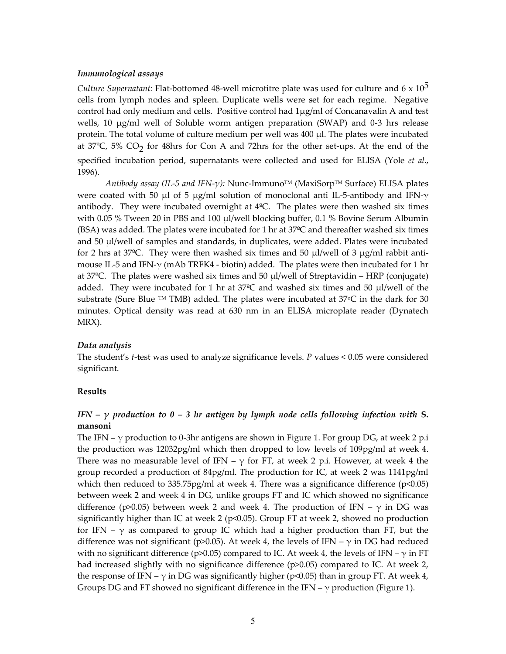#### *Immunological assays*

*Culture Supernatant:* Flat-bottomed 48-well microtitre plate was used for culture and 6 x 10 5 cells from lymph nodes and spleen. Duplicate wells were set for each regime. Negative control had only medium and cells. Positive control had 1μg/ml of Concanavalin A and test wells, 10 μg/ml well of Soluble worm antigen preparation (SWAP) and 0-3 hrs release protein. The total volume of culture medium per well was 400 μl. The plates were incubated at 37°C, 5% CO<sub>2</sub> for 48hrs for Con A and 72hrs for the other set-ups. At the end of the specified incubation period, supernatants were collected and used for ELISA (Yole *et al*., 1996).

*Antibody assay (IL-5 and IFN-γ):* Nunc-ImmunoTM (MaxiSorpTM Surface) ELISA plates were coated with 50 μl of 5 μg/ml solution of monoclonal anti IL-5-antibody and IFN- $\gamma$ antibody. They were incubated overnight at  $4^{\circ}C$ . The plates were then washed six times with 0.05 % Tween 20 in PBS and 100 μl/well blocking buffer, 0.1 % Bovine Serum Albumin (BSA) was added. The plates were incubated for 1 hr at  $37^{\circ}$ C and thereafter washed six times and 50 μl/well of samples and standards, in duplicates, were added. Plates were incubated for 2 hrs at 37 $^{\circ}$ C. They were then washed six times and 50  $\mu$ I/well of 3  $\mu$ g/ml rabbit antimouse IL-5 and IFN- $\gamma$  (mAb TRFK4 - biotin) added. The plates were then incubated for 1 hr at  $37^{\circ}$ C. The plates were washed six times and  $50 \mu$  well of Streptavidin – HRP (conjugate) added. They were incubated for 1 hr at 37ºC and washed six times and 50 μl/well of the substrate (Sure Blue  $TM$  TMB) added. The plates were incubated at  $37^{\circ}$ C in the dark for 30 minutes. Optical density was read at 630 nm in an ELISA microplate reader (Dynatech MRX).

#### *Data analysis*

The student's *t*-test was used to analyze significance levels. *P* values < 0.05 were considered significant.

#### **Results**

## *IFN – γ production to 0 – 3 hr antigen by lymph node cells following infection with* **S. mansoni**

The IFN –  $\gamma$  production to 0-3hr antigens are shown in Figure 1. For group DG, at week 2 p.i the production was 12032pg/ml which then dropped to low levels of 109pg/ml at week 4. There was no measurable level of IFN –  $\gamma$  for FT, at week 2 p.i. However, at week 4 the group recorded a production of 84pg/ml. The production for IC, at week 2 was 1141pg/ml which then reduced to 335.75pg/ml at week 4. There was a significance difference ( $p<0.05$ ) between week 2 and week 4 in DG, unlike groups FT and IC which showed no significance difference (p>0.05) between week 2 and week 4. The production of IFN –  $\gamma$  in DG was significantly higher than IC at week 2 ( $p<0.05$ ). Group FT at week 2, showed no production for IFN –  $\gamma$  as compared to group IC which had a higher production than FT, but the difference was not significant (p>0.05). At week 4, the levels of IFN –  $\gamma$  in DG had reduced with no significant difference (p>0.05) compared to IC. At week 4, the levels of IFN –  $\gamma$  in FT had increased slightly with no significance difference (p>0.05) compared to IC. At week 2, the response of IFN –  $\gamma$  in DG was significantly higher (p<0.05) than in group FT. At week 4, Groups DG and FT showed no significant difference in the IFN –  $\gamma$  production (Figure 1).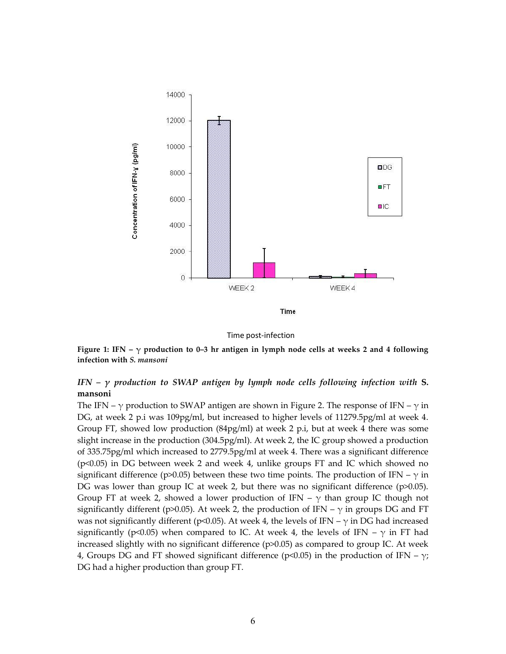

Time post-infection

**Figure 1: IFN – γ production to 0–3 hr antigen in lymph node cells at weeks 2 and 4 following infection with** *S. mansoni*

## *IFN – γ production to SWAP antigen by lymph node cells following infection with* **S. mansoni**

The IFN –  $\gamma$  production to SWAP antigen are shown in Figure 2. The response of IFN –  $\gamma$  in DG, at week 2 p.i was 109pg/ml, but increased to higher levels of 11279.5pg/ml at week 4. Group FT, showed low production (84pg/ml) at week 2 p.i, but at week 4 there was some slight increase in the production (304.5pg/ml). At week 2, the IC group showed a production of 335.75pg/ml which increased to 2779.5pg/ml at week 4. There was a significant difference (p<0.05) in DG between week 2 and week 4, unlike groups FT and IC which showed no significant difference (p>0.05) between these two time points. The production of IFN –  $\gamma$  in DG was lower than group IC at week 2, but there was no significant difference (p>0.05). Group FT at week 2, showed a lower production of IFN –  $\gamma$  than group IC though not significantly different (p>0.05). At week 2, the production of IFN –  $\gamma$  in groups DG and FT was not significantly different (p<0.05). At week 4, the levels of IFN –  $\gamma$  in DG had increased significantly (p<0.05) when compared to IC. At week 4, the levels of IFN –  $\gamma$  in FT had increased slightly with no significant difference (p>0.05) as compared to group IC. At week 4, Groups DG and FT showed significant difference (p<0.05) in the production of IFN –  $\gamma$ ; DG had a higher production than group FT.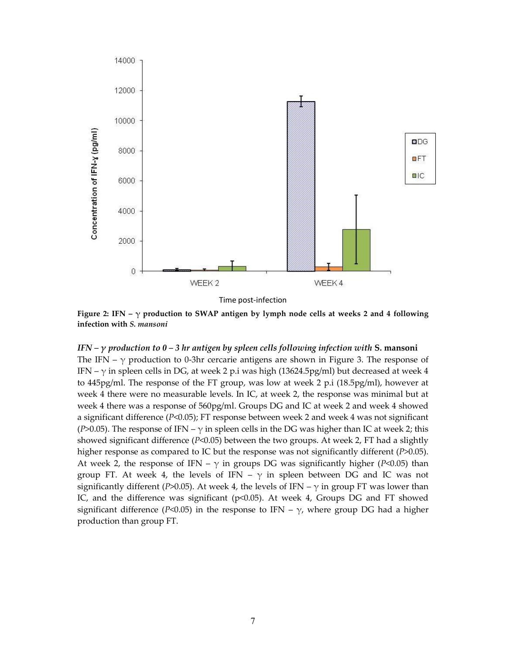

Time post-infection

**Figure 2: IFN – γ production to SWAP antigen by lymph node cells at weeks 2 and 4 following infection with** *S. mansoni*

## *IFN – γ production to 0 – 3 hr antigen by spleen cells following infection with* **S. mansoni**

The IFN –  $\gamma$  production to 0-3hr cercarie antigens are shown in Figure 3. The response of IFN –  $\gamma$  in spleen cells in DG, at week 2 p.i was high (13624.5pg/ml) but decreased at week 4 to 445pg/ml. The response of the FT group, was low at week 2 p.i (18.5pg/ml), however at week 4 there were no measurable levels. In IC, at week 2, the response was minimal but at week 4 there was a response of 560pg/ml. Groups DG and IC at week 2 and week 4 showed a significant difference (*P*<0.05); FT response between week 2 and week 4 was not significant (*P*>0.05). The response of IFN –  $\gamma$  in spleen cells in the DG was higher than IC at week 2; this showed significant difference (*P*<0.05) between the two groups. At week 2, FT had a slightly higher response as compared to IC but the response was not significantly different (*P*>0.05). At week 2, the response of IFN –  $\gamma$  in groups DG was significantly higher (*P*<0.05) than group FT. At week 4, the levels of IFN –  $\gamma$  in spleen between DG and IC was not significantly different (*P*>0.05). At week 4, the levels of IFN –  $\gamma$  in group FT was lower than IC, and the difference was significant (p<0.05). At week 4, Groups DG and FT showed significant difference ( $P$ <0.05) in the response to IFN –  $\gamma$ , where group DG had a higher production than group FT.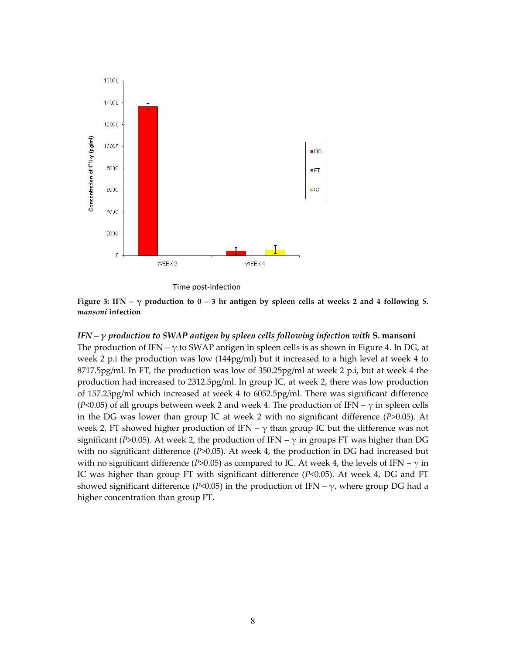

Time post-infection

**Figure** 3: IFN  $- \gamma$  production to 0 – 3 hr antigen by spleen cells at weeks 2 and 4 following *S*. *mansoni* **infection**

### *IFN – γ production to SWAP antigen by spleen cells following infection with* **S. mansoni**

The production of IFN –  $\gamma$  to SWAP antigen in spleen cells is as shown in Figure 4. In DG, at week 2 p.i the production was low (144pg/ml) but it increased to a high level at week 4 to 8717.5pg/ml. In FT, the production was low of 350.25pg/ml at week 2 p.i, but at week 4 the production had increased to 2312.5pg/ml. In group IC, at week 2, there was low production of 157.25pg/ml which increased at week 4 to 6052.5pg/ml. There was significant difference (*P*<0.05) of all groups between week 2 and week 4. The production of IFN –  $\gamma$  in spleen cells in the DG was lower than group IC at week 2 with no significant difference (*P*>0.05). At week 2, FT showed higher production of IFN –  $\gamma$  than group IC but the difference was not significant (*P*>0.05). At week 2, the production of IFN –  $\gamma$  in groups FT was higher than DG with no significant difference (*P*>0.05). At week 4, the production in DG had increased but with no significant difference ( $P > 0.05$ ) as compared to IC. At week 4, the levels of IFN –  $\gamma$  in IC was higher than group FT with significant difference (*P*<0.05). At week 4, DG and FT showed significant difference ( $P$ <0.05) in the production of IFN –  $\gamma$ , where group DG had a higher concentration than group FT.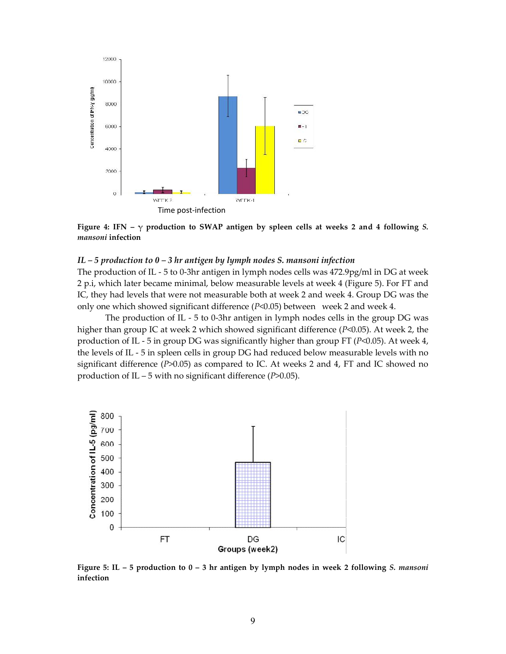

**Figure 4: IFN – γ production to SWAP antigen by spleen cells at weeks 2 and 4 following** *S. mansoni* **infection**

### *IL – 5 production to 0 – 3 hr antigen by lymph nodes S. mansoni infection*

The production of IL - 5 to 0-3hr antigen in lymph nodes cells was 472.9pg/ml in DG at week 2 p.i, which later became minimal, below measurable levels at week 4 (Figure 5). For FT and IC, they had levels that were not measurable both at week 2 and week 4. Group DG was the only one which showed significant difference (*P*<0.05) between week 2 and week 4.

The production of IL - 5 to 0-3hr antigen in lymph nodes cells in the group DG was higher than group IC at week 2 which showed significant difference ( $P<0.05$ ). At week 2, the production of IL - 5 in group DG was significantly higher than group FT (*P*<0.05). At week 4, the levels of IL - 5 in spleen cells in group DG had reduced below measurable levels with no significant difference (*P*>0.05) as compared to IC. At weeks 2 and 4, FT and IC showed no production of IL – 5 with no significant difference (*P*>0.05).



**Figure 5: IL – 5 production to 0 – 3 hr antigen by lymph nodes in week 2 following** *S. mansoni* **infection**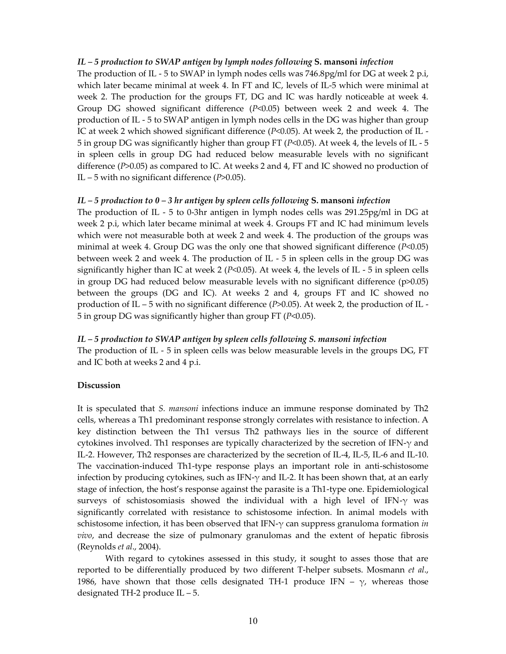#### *IL – 5 production to SWAP antigen by lymph nodes following* **S. mansoni** *infection*

The production of IL - 5 to SWAP in lymph nodes cells was 746.8pg/ml for DG at week 2 p.i, which later became minimal at week 4. In FT and IC, levels of IL-5 which were minimal at week 2. The production for the groups FT, DG and IC was hardly noticeable at week 4. Group DG showed significant difference (*P*<0.05) between week 2 and week 4. The production of IL - 5 to SWAP antigen in lymph nodes cells in the DG was higher than group IC at week 2 which showed significant difference (*P*<0.05). At week 2, the production of IL - 5 in group DG was significantly higher than group FT (*P*<0.05). At week 4, the levels of IL - 5 in spleen cells in group DG had reduced below measurable levels with no significant difference (*P*>0.05) as compared to IC. At weeks 2 and 4, FT and IC showed no production of IL – 5 with no significant difference (*P*>0.05).

#### *IL – 5 production to 0 – 3 hr antigen by spleen cells following* **S. mansoni** *infection*

The production of IL - 5 to 0-3hr antigen in lymph nodes cells was 291.25pg/ml in DG at week 2 p.i, which later became minimal at week 4. Groups FT and IC had minimum levels which were not measurable both at week 2 and week 4. The production of the groups was minimal at week 4. Group DG was the only one that showed significant difference (*P*<0.05) between week 2 and week 4. The production of IL - 5 in spleen cells in the group DG was significantly higher than IC at week 2 (*P*<0.05). At week 4, the levels of IL - 5 in spleen cells in group DG had reduced below measurable levels with no significant difference (p>0.05) between the groups (DG and IC). At weeks 2 and 4, groups FT and IC showed no production of IL – 5 with no significant difference (*P*>0.05). At week 2, the production of IL - 5 in group DG was significantly higher than group FT (*P*<0.05).

#### *IL – 5 production to SWAP antigen by spleen cells following S. mansoni infection*

The production of IL - 5 in spleen cells was below measurable levels in the groups DG, FT and IC both at weeks 2 and 4 p.i.

## **Discussion**

It is speculated that *S. mansoni* infections induce an immune response dominated by Th2 cells, whereas a Th1 predominant response strongly correlates with resistance to infection. A key distinction between the Th1 versus Th2 pathways lies in the source of different cytokines involved. Th1 responses are typically characterized by the secretion of IFN- $\gamma$  and IL-2. However, Th2 responses are characterized by the secretion of IL-4, IL-5, IL-6 and IL-10. The vaccination-induced Th1-type response plays an important role in anti-schistosome infection by producing cytokines, such as IFN- $\gamma$  and IL-2. It has been shown that, at an early stage of infection, the host's response against the parasite is a Th1-type one. Epidemiological surveys of schistosomiasis showed the individual with a high level of IFN- $\gamma$  was significantly correlated with resistance to schistosome infection. In animal models with schistosome infection, it has been observed that IFN-γ can suppress granuloma formation *in vivo*, and decrease the size of pulmonary granulomas and the extent of hepatic fibrosis (Reynolds *et al*., 2004).

With regard to cytokines assessed in this study, it sought to asses those that are reported to be differentially produced by two different T-helper subsets. Mosmann *et al*., 1986, have shown that those cells designated TH-1 produce IFN –  $\gamma$ , whereas those designated TH-2 produce IL – 5.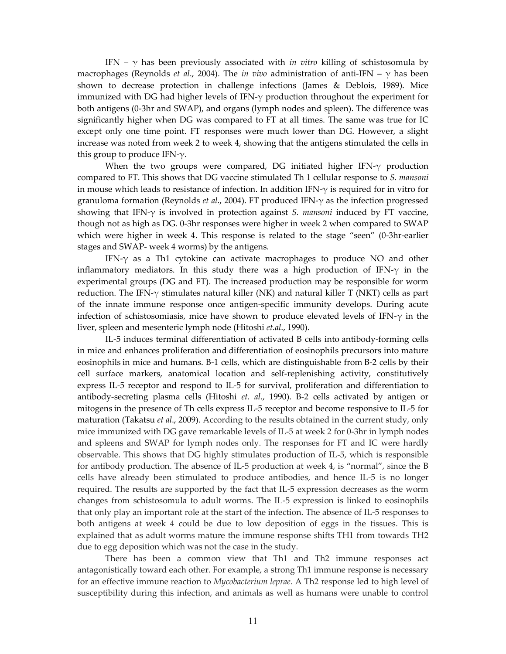IFN –  $\gamma$  has been previously associated with *in vitro* killing of schistosomula by macrophages (Reynolds *et al*., 2004). The *in vivo* administration of anti-IFN – γ has been shown to decrease protection in challenge infections (James & Deblois, 1989). Mice immunized with DG had higher levels of IFN- $\gamma$  production throughout the experiment for both antigens (0-3hr and SWAP), and organs (lymph nodes and spleen). The difference was significantly higher when DG was compared to FT at all times. The same was true for IC except only one time point. FT responses were much lower than DG. However, a slight increase was noted from week 2 to week 4, showing that the antigens stimulated the cells in this group to produce IFN- $\gamma$ .

When the two groups were compared, DG initiated higher IFN-γ production compared to FT. This shows that DG vaccine stimulated Th 1 cellular response to *S. mansoni* in mouse which leads to resistance of infection. In addition IFN- $\gamma$  is required for in vitro for granuloma formation (Reynolds *et al*., 2004). FT produced IFN-γ as the infection progressed showing that IFN-γ is involved in protection against *S. mansoni* induced by FT vaccine, though not as high as DG. 0-3hr responses were higher in week 2 when compared to SWAP which were higher in week 4. This response is related to the stage "seen" (0-3hr-earlier stages and SWAP- week 4 worms) by the antigens.

IFN-γ as a Th1 cytokine can activate macrophages to produce NO and other inflammatory mediators. In this study there was a high production of IFN- $\gamma$  in the experimental groups (DG and FT). The increased production may be responsible for worm reduction. The IFN- $\gamma$  stimulates natural killer (NK) and natural killer T (NKT) cells as part of the innate immune response once antigen-specific immunity develops. During acute infection of schistosomiasis, mice have shown to produce elevated levels of IFN- $\gamma$  in the liver, spleen and mesenteric lymph node (Hitoshi *et.al*., 1990).

IL-5 induces terminal differentiation of activated B cells into antibody-forming cells in mice and enhances proliferation and differentiation of eosinophils precursors into mature eosinophils in mice and humans. B-1 cells, which are distinguishable from B-2 cells by their cell surface markers, anatomical location and self-replenishing activity, constitutively express IL-5 receptor and respond to IL-5 for survival, proliferation and differentiation to antibody-secreting plasma cells (Hitoshi *et. al*., 1990). B-2 cells activated by antigen or mitogens in the presence of Th cells express IL-5 receptor and become responsive to IL-5 for maturation (Takatsu *et al*., 2009). According to the results obtained in the current study, only mice immunized with DG gave remarkable levels of IL-5 at week 2 for 0-3hr in lymph nodes and spleens and SWAP for lymph nodes only. The responses for FT and IC were hardly observable. This shows that DG highly stimulates production of IL-5, which is responsible for antibody production. The absence of IL-5 production at week 4, is "normal", since the B cells have already been stimulated to produce antibodies, and hence IL-5 is no longer required. The results are supported by the fact that IL-5 expression decreases as the worm changes from schistosomula to adult worms. The IL-5 expression is linked to eosinophils that only play an important role at the start of the infection. The absence of IL-5 responses to both antigens at week 4 could be due to low deposition of eggs in the tissues. This is explained that as adult worms mature the immune response shifts TH1 from towards TH2 due to egg deposition which was not the case in the study.

There has been a common view that Th1 and Th2 immune responses act antagonistically toward each other. For example, a strong Th1 immune response is necessary for an effective immune reaction to *Mycobacterium leprae*. A Th2 response led to high level of susceptibility during this infection, and animals as well as humans were unable to control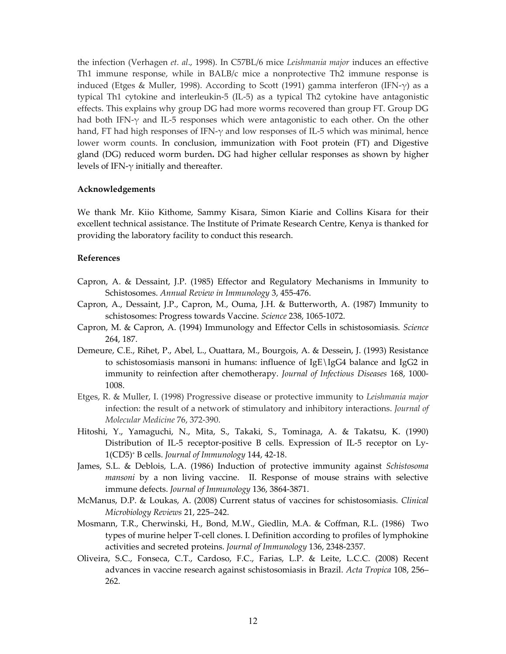the infection (Verhagen *et. al*., 1998). In C57BL/6 mice *Leishmania major* induces an effective Th1 immune response, while in BALB/c mice a nonprotective Th2 immune response is induced (Etges & Muller, 1998). According to Scott (1991) gamma interferon (IFN- $\gamma$ ) as a typical Th1 cytokine and interleukin-5 (IL-5) as a typical Th2 cytokine have antagonistic effects. This explains why group DG had more worms recovered than group FT. Group DG had both IFN- $\gamma$  and IL-5 responses which were antagonistic to each other. On the other hand, FT had high responses of IFN- $\gamma$  and low responses of IL-5 which was minimal, hence lower worm counts. In conclusion, immunization with Foot protein (FT) and Digestive gland (DG) reduced worm burden**.** DG had higher cellular responses as shown by higher levels of IFN- $\gamma$  initially and thereafter.

## **Acknowledgements**

We thank Mr. Kiio Kithome, Sammy Kisara, Simon Kiarie and Collins Kisara for their excellent technical assistance. The Institute of Primate Research Centre, Kenya is thanked for providing the laboratory facility to conduct this research.

#### **References**

- Capron, A. & Dessaint, J.P. (1985) Effector and Regulatory Mechanisms in Immunity to Schistosomes. *Annual Review in Immunology* 3, 455-476.
- Capron, A., Dessaint, J.P., Capron, M., Ouma, J.H. & Butterworth, A. (1987) Immunity to schistosomes: Progress towards Vaccine. *Science* 238, 1065-1072.
- Capron, M. & Capron, A. (1994) Immunology and Effector Cells in schistosomiasis. *Science* 264, 187.
- Demeure, C.E., Rihet, P., Abel, L., Ouattara, M., Bourgois, A. & Dessein, J. (1993) Resistance to schistosomiasis mansoni in humans: influence of IgE\IgG4 balance and IgG2 in immunity to reinfection after chemotherapy. *Journal of Infectious Diseases* 168, 1000- 1008.
- Etges, R. & Muller, I. (1998) Progressive disease or protective immunity to *Leishmania major* infection: the result of a network of stimulatory and inhibitory interactions. *Journal of Molecular Medicine* 76, 372-390.
- Hitoshi, Y., Yamaguchi, N., Mita, S., Takaki, S., Tominaga, A. & Takatsu, K. (1990) Distribution of IL-5 receptor-positive B cells. Expression of IL-5 receptor on Ly-1(CD5)<sup>+</sup> B cells. *Journal of Immunology* 144, 42-18.
- James, S.L. & Deblois, L.A. (1986) Induction of protective immunity against *Schistosoma mansoni* by a non living vaccine. II. Response of mouse strains with selective immune defects. *Journal of Immunology* 136, 3864-3871.
- McManus, D.P. & Loukas, A. (2008) Current status of vaccines for schistosomiasis. *Clinical Microbiology Reviews* 21, 225–242.
- Mosmann, T.R., Cherwinski, H., Bond, M.W., Giedlin, M.A. & Coffman, R.L. (1986) Two types of murine helper T-cell clones. I. Definition according to profiles of lymphokine activities and secreted proteins. *Journal of Immunology* 136, 2348-2357.
- Oliveira, S.C., Fonseca, C.T., Cardoso, F.C., Farias, L.P. & Leite, L.C.C. (2008) Recent advances in vaccine research against schistosomiasis in Brazil. *Acta Tropica* 108, 256– 262.